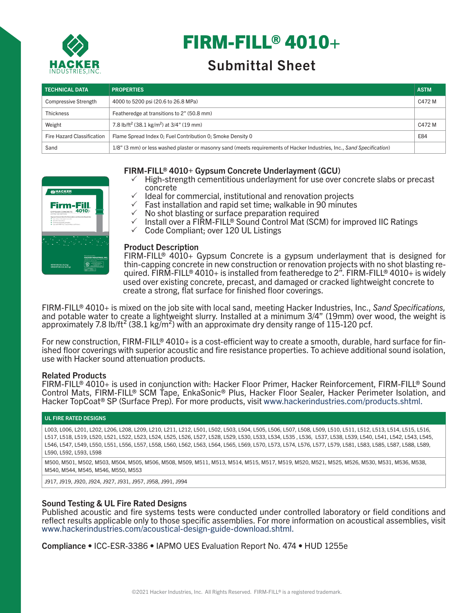

# FIRM-FILL® 4010+

# Submittal Sheet

| <b>TECHNICAL DATA</b>       | <b>PROPERTIES</b>                                                                                                      | <b>ASTM</b> |
|-----------------------------|------------------------------------------------------------------------------------------------------------------------|-------------|
| <b>Compressive Strength</b> | 4000 to 5200 psi (20.6 to 26.8 MPa)                                                                                    | C472 M      |
| <b>Thickness</b>            | Featheredge at transitions to 2" (50.8 mm)                                                                             |             |
| Weight                      | 7.8 lb/ft <sup>2</sup> (38.1 kg/m <sup>2</sup> ) at 3/4" (19 mm)                                                       | C472 M      |
| Fire Hazard Classification  | Flame Spread Index 0: Fuel Contribution 0: Smoke Density 0                                                             | E84         |
| Sand                        | 1/8" (3 mm) or less washed plaster or masonry sand (meets requirements of Hacker Industries, Inc., Sand Specification) |             |



# FIRM-FILL® 4010+ Gypsum Concrete Underlayment (GCU)

- $\checkmark$  High-strength cementitious underlayment for use over concrete slabs or precast concrete
	- Ideal for commercial, institutional and renovation projects
- $\sqrt{ }$  Fast installation and rapid set time; walkable in 90 minutes
- $\checkmark$  No shot blasting or surface preparation required
- $\checkmark$  Install over a FIRM-FILL® Sound Control Mat (SCM) for improved IIC Ratings
- $\checkmark$  Code Compliant; over 120 UL Listings

#### Product Description

used over existing concrete, precast, and damaged or cracked lightweight concrete to create a strong, flat surface for finished floor coverings. FIRM-FILL<sup>®</sup> 4010+ Gypsum Concrete is a gypsum underlayment that is designed for thin-capping concrete in new construction or renovation projects with no shot blasting required. FIRM-FILL® 4010+ is installed from featheredge to 2<sup>"</sup>. FIRM-FILL® 4010+ is widely

FIRM-FILL® 4010+ is mixed on the job site with local sand, meeting Hacker Industries, Inc., *Sand Specifications,*  and potable water to create a lightweight slurry. Installed at a minimum 3/4" (19mm) over wood, the weight is approximately 7.8 lb/ft<sup>2</sup> (38.1 kg/m<sup>2</sup>) with an approximate dry density range of 115-120 pcf.

For new construction, FIRM-FILL® 4010+ is a cost-efficient way to create a smooth, durable, hard surface for fin-<br>ished floor coverings with superior acoustic and fire resistance properties. To achieve additional sound iso use with Hacker sound attenuation products.

# Related Products

FIRM-FILL® 4010+ is used in conjunction with: Hacker Floor Primer, Hacker Reinforcement, FIRM-FILL® Sound Control Mats, FIRM-FILL® SCM Tape, EnkaSonic® Plus, Hacker Floor Sealer, Hacker Perimeter Isolation, and Hacker TopCoat® SP (Surface Prep). For more products, visit www.hackerindustries.com/products.shtml.

#### UL FIRE RATED DESIGNS

L003, L006, L201, L202, L206, L208, L209, L210, L211, L212, L501, L502, L503, L504, L505, L506, L507, L508, L509, L510, L511, L512, L513, L514, L515, L516, L517, L518, L519, L520, L521, L522, L523, L524, L525, L526, L527, L528, L529, L530, L533, L534, L535 , L536, L537, L538, L539, L540, L541, L542, L543, L545, L546, L547, L549, L550, L551, L556, L557, L558, L560, L562, L563, L564, L565, L569, L570, L573, L574, L576, L577, L579, L581, L583, L585, L587, L588, L589, L590, L592, L593, L598

M500, M501, M502, M503, M504, M505, M506, M508, M509, M511, M513, M514, M515, M517, M519, M520, M521, M525, M526, M530, M531, M536, M538, M540, M544, M545, M546, M550, M553

J917, J919, J920, J924, J927, J931, J957, J958, J991, J994

# Sound Testing & UL Fire Rated Designs

Published acoustic and fire systems tests were conducted under controlled laboratory or field conditions and reflect results applicable only to those specific assemblies. For more information on acoustical assemblies, visit www.hackerindustries.com/acoustical-design-guide-download.shtml.

Compliance • ICC-ESR-3386 • IAPMO UES Evaluation Report No. 474 • HUD 1255e